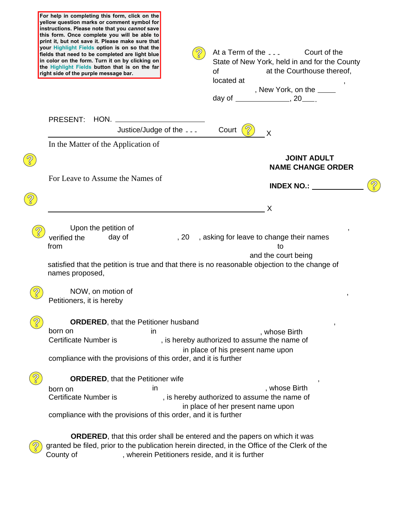| yellow question marks or comment symbol for<br>instructions. Please note that you cannot save<br>this form. Once complete you will be able to<br>print it, but not save it. Please make sure that<br>your Highlight Fields option is on so that the<br>fields that need to be completed are light blue<br>in color on the form. Turn it on by clicking on<br>the Highlight Fields button that is on the far<br>right side of the purple message bar. | At a Term of the<br>Court of the<br>State of New York, held in and for the County<br><b>of</b><br>at the Courthouse thereof,<br>located at<br>, New York, on the ____ |
|------------------------------------------------------------------------------------------------------------------------------------------------------------------------------------------------------------------------------------------------------------------------------------------------------------------------------------------------------------------------------------------------------------------------------------------------------|-----------------------------------------------------------------------------------------------------------------------------------------------------------------------|
| PRESENT:                                                                                                                                                                                                                                                                                                                                                                                                                                             |                                                                                                                                                                       |
| Justice/Judge of the                                                                                                                                                                                                                                                                                                                                                                                                                                 | Court<br>X                                                                                                                                                            |
| In the Matter of the Application of                                                                                                                                                                                                                                                                                                                                                                                                                  |                                                                                                                                                                       |
|                                                                                                                                                                                                                                                                                                                                                                                                                                                      | <b>JOINT ADULT</b><br><b>NAME CHANGE ORDER</b>                                                                                                                        |
| For Leave to Assume the Names of                                                                                                                                                                                                                                                                                                                                                                                                                     | <b>INDEX NO.:</b>                                                                                                                                                     |
|                                                                                                                                                                                                                                                                                                                                                                                                                                                      | X                                                                                                                                                                     |
| day of<br>verified the                                                                                                                                                                                                                                                                                                                                                                                                                               | , asking for leave to change their names<br>, 20                                                                                                                      |
| from<br>names proposed,                                                                                                                                                                                                                                                                                                                                                                                                                              | to<br>and the court being<br>satisfied that the petition is true and that there is no reasonable objection to the change of                                           |
| NOW, on motion of<br>Petitioners, it is hereby                                                                                                                                                                                                                                                                                                                                                                                                       |                                                                                                                                                                       |
| <b>ORDERED, that the Petitioner husband</b>                                                                                                                                                                                                                                                                                                                                                                                                          |                                                                                                                                                                       |
| born on<br>in<br><b>Certificate Number is</b>                                                                                                                                                                                                                                                                                                                                                                                                        | , whose Birth<br>, is hereby authorized to assume the name of                                                                                                         |
| compliance with the provisions of this order, and it is further                                                                                                                                                                                                                                                                                                                                                                                      | in place of his present name upon                                                                                                                                     |
| <b>ORDERED, that the Petitioner wife</b>                                                                                                                                                                                                                                                                                                                                                                                                             |                                                                                                                                                                       |
| in<br>born on<br>Certificate Number is                                                                                                                                                                                                                                                                                                                                                                                                               | , whose Birth<br>, is hereby authorized to assume the name of                                                                                                         |

County of The Referict Automateur County of Theorem , wherein Petitioners reside, and it is further